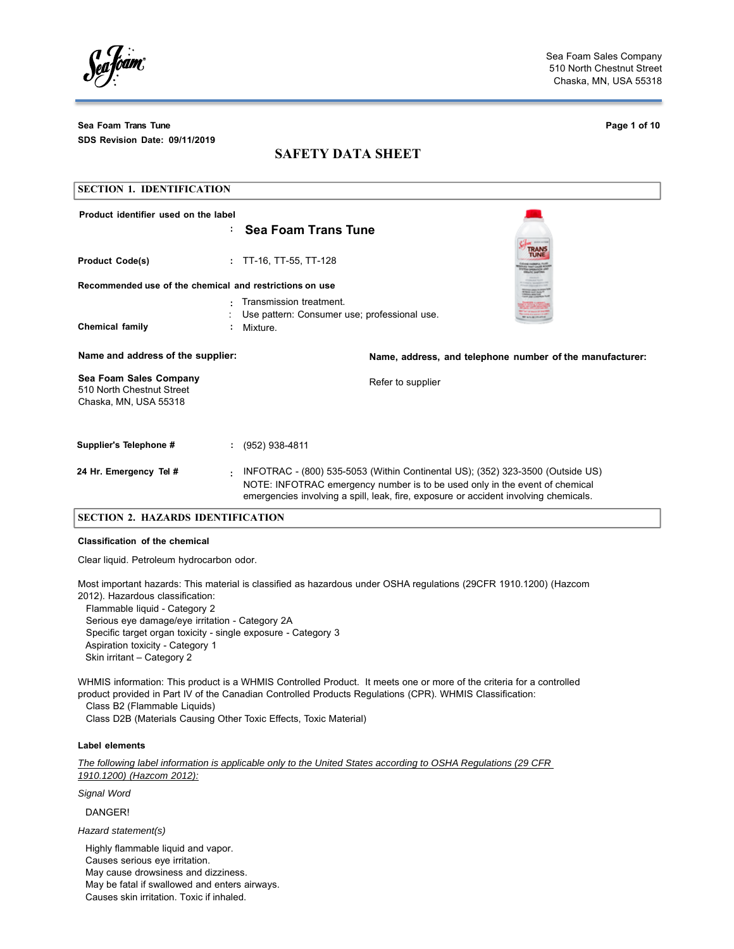foam

**Sea Foam Trans Tune Page 1 of 10 SDS Revision Date: 09/11/2019**

# **SAFETY DATA SHEET**

| <b>SECTION 1. IDENTIFICATION</b>                                             |                |                                                                                                                                                                                                                                                       |                                                          |
|------------------------------------------------------------------------------|----------------|-------------------------------------------------------------------------------------------------------------------------------------------------------------------------------------------------------------------------------------------------------|----------------------------------------------------------|
| Product identifier used on the label                                         |                |                                                                                                                                                                                                                                                       |                                                          |
|                                                                              | ۰.             | <b>Sea Foam Trans Tune</b>                                                                                                                                                                                                                            |                                                          |
| <b>Product Code(s)</b>                                                       | ÷.             | TT-16, TT-55, TT-128                                                                                                                                                                                                                                  |                                                          |
| Recommended use of the chemical and restrictions on use                      |                |                                                                                                                                                                                                                                                       |                                                          |
|                                                                              |                | Transmission treatment.<br>Use pattern: Consumer use; professional use.                                                                                                                                                                               |                                                          |
| Chemical family                                                              | Mixture.       |                                                                                                                                                                                                                                                       |                                                          |
| Name and address of the supplier:                                            |                |                                                                                                                                                                                                                                                       | Name, address, and telephone number of the manufacturer: |
| Sea Foam Sales Company<br>510 North Chestnut Street<br>Chaska, MN, USA 55318 |                | Refer to supplier                                                                                                                                                                                                                                     |                                                          |
| Supplier's Telephone #                                                       | (952) 938-4811 |                                                                                                                                                                                                                                                       |                                                          |
| 24 Hr. Emergency Tel #                                                       | ٠              | INFOTRAC - (800) 535-5053 (Within Continental US); (352) 323-3500 (Outside US)<br>NOTE: INFOTRAC emergency number is to be used only in the event of chemical<br>emergencies involving a spill, leak, fire, exposure or accident involving chemicals. |                                                          |

### **SECTION 2. HAZARDS IDENTIFICATION**

## **Classification of the chemical**

Clear liquid. Petroleum hydrocarbon odor.

Most important hazards: This material is classified as hazardous under OSHA regulations (29CFR 1910.1200) (Hazcom 2012). Hazardous classification:

Flammable liquid - Category 2 Serious eye damage/eye irritation - Category 2A Specific target organ toxicity - single exposure - Category 3 Aspiration toxicity - Category 1 Skin irritant – Category 2

WHMIS information: This product is a WHMIS Controlled Product. It meets one or more of the criteria for a controlled product provided in Part IV of the Canadian Controlled Products Regulations (CPR). WHMIS Classification:

Class B2 (Flammable Liquids)

Class D2B (Materials Causing Other Toxic Effects, Toxic Material)

## **Label elements**

*The following label information is applicable only to the United States according to OSHA Regulations (29 CFR 1910.1200) (Hazcom 2012):*

*Signal Word*

DANGER!

*Hazard statement(s)*

Highly flammable liquid and vapor. Causes serious eye irritation. May cause drowsiness and dizziness. May be fatal if swallowed and enters airways. Causes skin irritation. Toxic if inhaled.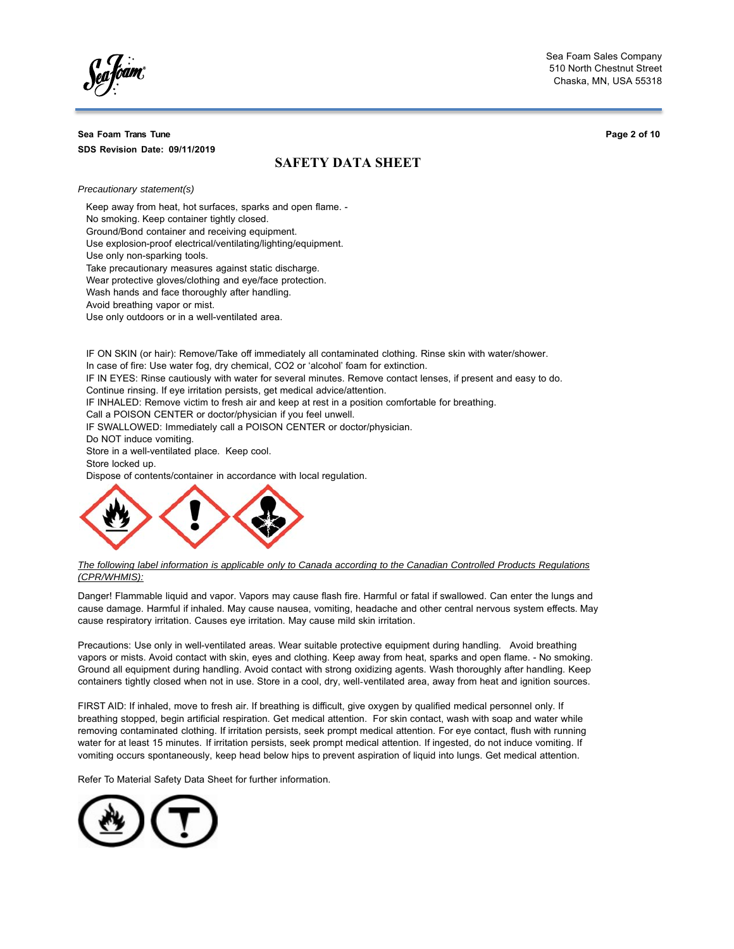## **Sea Foam Trans Tune SDS Revision Date: 09/11/2019**

**Page 2 of 10**

# **SAFETY DATA SHEET**

*Precautionary statement(s)*

Keep away from heat, hot surfaces, sparks and open flame. - No smoking. Keep container tightly closed. Ground/Bond container and receiving equipment. Use explosion-proof electrical/ventilating/lighting/equipment.

Use only non-sparking tools.

Take precautionary measures against static discharge.

Wear protective gloves/clothing and eye/face protection.

Wash hands and face thoroughly after handling.

Avoid breathing vapor or mist.

Use only outdoors or in a well-ventilated area.

IF ON SKIN (or hair): Remove/Take off immediately all contaminated clothing. Rinse skin with water/shower. In case of fire: Use water fog, dry chemical, CO2 or 'alcohol' foam for extinction.

IF IN EYES: Rinse cautiously with water for several minutes. Remove contact lenses, if present and easy to do.

Continue rinsing. If eye irritation persists, get medical advice/attention.

IF INHALED: Remove victim to fresh air and keep at rest in a position comfortable for breathing.

Call a POISON CENTER or doctor/physician if you feel unwell.

IF SWALLOWED: Immediately call a POISON CENTER or doctor/physician.

Do NOT induce vomiting.

Store in a well-ventilated place. Keep cool.

Store locked up.

Dispose of contents/container in accordance with local regulation.



*The following label information is applicable only to Canada according to the Canadian Controlled Products Regulations (CPR/WHMIS):*

Danger! Flammable liquid and vapor. Vapors may cause flash fire. Harmful or fatal if swallowed. Can enter the lungs and cause damage. Harmful if inhaled. May cause nausea, vomiting, headache and other central nervous system effects. May cause respiratory irritation. Causes eye irritation. May cause mild skin irritation.

Precautions: Use only in well-ventilated areas. Wear suitable protective equipment during handling. Avoid breathing vapors or mists. Avoid contact with skin, eyes and clothing. Keep away from heat, sparks and open flame. - No smoking. Ground all equipment during handling. Avoid contact with strong oxidizing agents. Wash thoroughly after handling. Keep containers tightly closed when not in use. Store in a cool, dry, well-ventilated area, away from heat and ignition sources.

FIRST AID: If inhaled, move to fresh air. If breathing is difficult, give oxygen by qualified medical personnel only. If breathing stopped, begin artificial respiration. Get medical attention. For skin contact, wash with soap and water while removing contaminated clothing. If irritation persists, seek prompt medical attention. For eye contact, flush with running water for at least 15 minutes. If irritation persists, seek prompt medical attention. If ingested, do not induce vomiting. If vomiting occurs spontaneously, keep head below hips to prevent aspiration of liquid into lungs. Get medical attention.

Refer To Material Safety Data Sheet for further information.

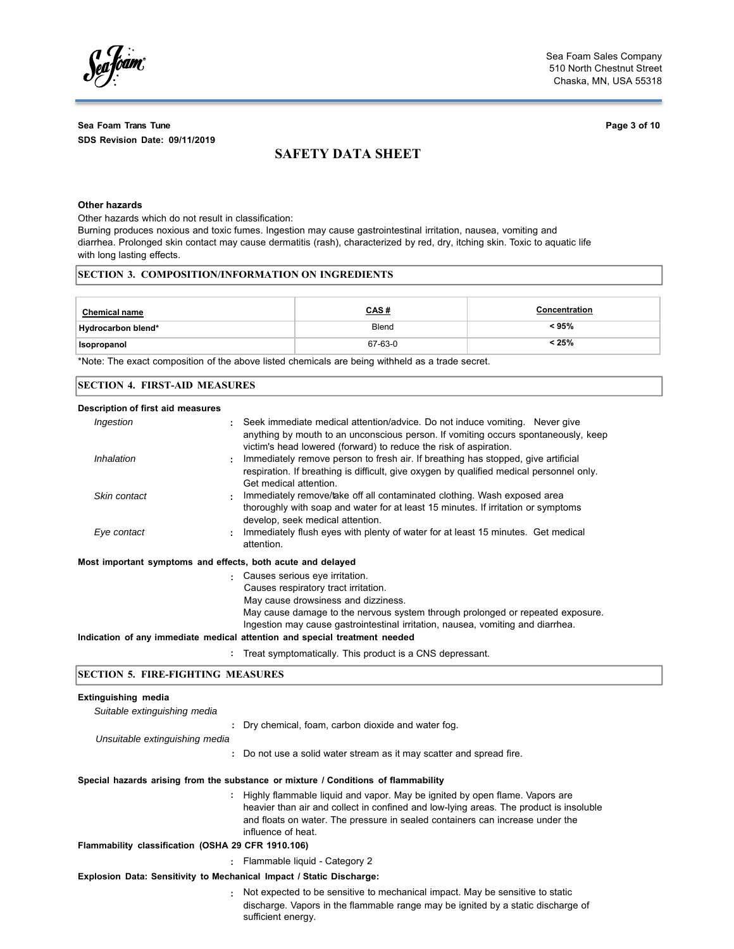fóam,

# **Sea Foam Trans Tune Page 3 of 10 SDS Revision Date: 09/11/2019**

# **SAFETY DATA SHEET**

## **Other hazards**

Other hazards which do not result in classification:

Burning produces noxious and toxic fumes. Ingestion may cause gastrointestinal irritation, nausea, vomiting and diarrhea. Prolonged skin contact may cause dermatitis (rash), characterized by red, dry, itching skin. Toxic to aquatic life with long lasting effects.

# **SECTION 3. COMPOSITION/INFORMATION ON INGREDIENTS**

| <b>Chemical name</b> | <u>CAS#</u> | Concentration |
|----------------------|-------------|---------------|
| Hydrocarbon blend*   | Blend       | $<$ 95%       |
| Isopropanol          | 67-63-0     | $< 25\%$      |

\*Note: The exact composition of the above listed chemicals are being withheld as a trade secret.

| <b>SECTION 4. FIRST-AID MEASURES</b> |                                                                                                                                                                                                                                                                                                                                                                        |  |
|--------------------------------------|------------------------------------------------------------------------------------------------------------------------------------------------------------------------------------------------------------------------------------------------------------------------------------------------------------------------------------------------------------------------|--|
| Description of first aid measures    |                                                                                                                                                                                                                                                                                                                                                                        |  |
| Ingestion                            | Seek immediate medical attention/advice. Do not induce vomiting. Never give<br>anything by mouth to an unconscious person. If vomiting occurs spontaneously, keep<br>victim's head lowered (forward) to reduce the risk of aspiration.                                                                                                                                 |  |
| Inhalation                           | Immediately remove person to fresh air. If breathing has stopped, give artificial<br>respiration. If breathing is difficult, give oxygen by qualified medical personnel only.<br>Get medical attention.                                                                                                                                                                |  |
| Skin contact                         | Immediately remove/take off all contaminated clothing. Wash exposed area<br>thoroughly with soap and water for at least 15 minutes. If irritation or symptoms<br>develop, seek medical attention.                                                                                                                                                                      |  |
| Eye contact                          | Immediately flush eyes with plenty of water for at least 15 minutes. Get medical<br>attention.                                                                                                                                                                                                                                                                         |  |
|                                      | Most important symptoms and effects, both acute and delayed                                                                                                                                                                                                                                                                                                            |  |
|                                      | Causes serious eye irritation.<br>÷.<br>Causes respiratory tract irritation.<br>May cause drowsiness and dizziness.<br>May cause damage to the nervous system through prolonged or repeated exposure.<br>Ingestion may cause gastrointestinal irritation, nausea, vomiting and diarrhea.<br>Indication of any immediate medical attention and special treatment needed |  |
|                                      | Treat symptomatically. This product is a CNS depressant.                                                                                                                                                                                                                                                                                                               |  |

## **SECTION 5. FIRE-FIGHTING MEASURES**

# **Extinguishing media**

| Suitable extinguishing media                                         |                                                                                                                                                                                                                                                                                |
|----------------------------------------------------------------------|--------------------------------------------------------------------------------------------------------------------------------------------------------------------------------------------------------------------------------------------------------------------------------|
|                                                                      | : Dry chemical, foam, carbon dioxide and water fog.                                                                                                                                                                                                                            |
| Unsuitable extinguishing media                                       |                                                                                                                                                                                                                                                                                |
|                                                                      | : Do not use a solid water stream as it may scatter and spread fire.                                                                                                                                                                                                           |
|                                                                      | Special hazards arising from the substance or mixture / Conditions of flammability                                                                                                                                                                                             |
|                                                                      | : Highly flammable liquid and vapor. May be ignited by open flame. Vapors are<br>heavier than air and collect in confined and low-lying areas. The product is insoluble<br>and floats on water. The pressure in sealed containers can increase under the<br>influence of heat. |
| Flammability classification (OSHA 29 CFR 1910.106)                   |                                                                                                                                                                                                                                                                                |
|                                                                      | : Flammable liquid - Category 2                                                                                                                                                                                                                                                |
| Explosion Data: Sensitivity to Mechanical Impact / Static Discharge: |                                                                                                                                                                                                                                                                                |
|                                                                      | : Not expected to be sensitive to mechanical impact. May be sensitive to static<br>discharge. Vapors in the flammable range may be ignited by a static discharge of                                                                                                            |

sufficient energy.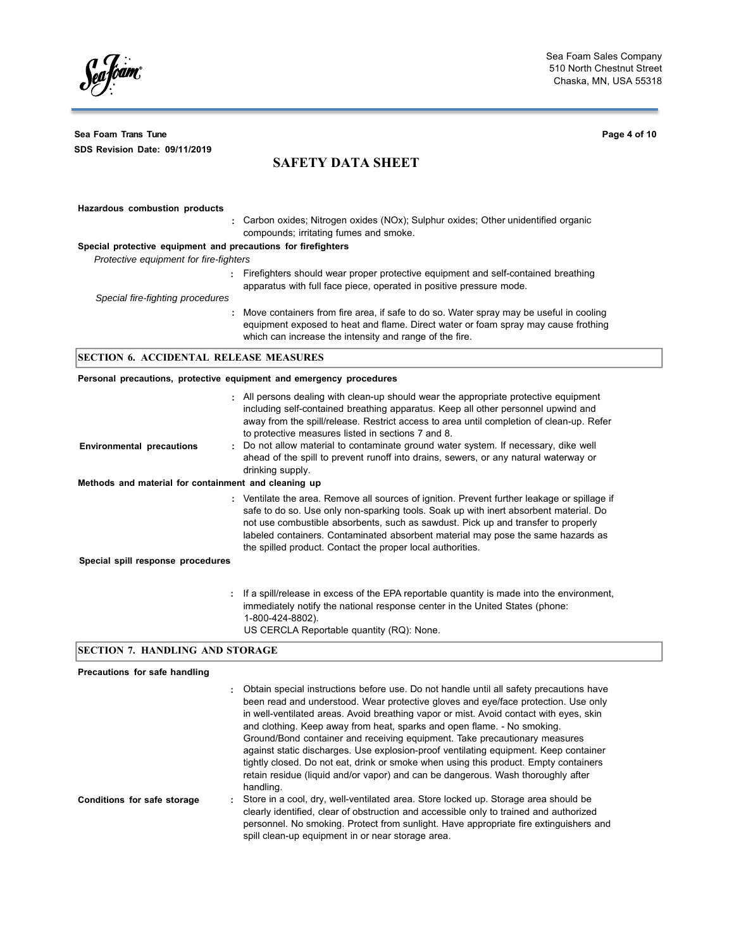Seafoam

**Sea Foam Trans Tune Page 4 of 10 SDS Revision Date: 09/11/2019**

# **SAFETY DATA SHEET**

| Hazardous combustion products                                 |                                                                                                                                                                                                                                           |
|---------------------------------------------------------------|-------------------------------------------------------------------------------------------------------------------------------------------------------------------------------------------------------------------------------------------|
|                                                               | : Carbon oxides; Nitrogen oxides (NOx); Sulphur oxides; Other unidentified organic<br>compounds; irritating fumes and smoke.                                                                                                              |
| Special protective equipment and precautions for firefighters |                                                                                                                                                                                                                                           |
| Protective equipment for fire-fighters                        |                                                                                                                                                                                                                                           |
|                                                               | : Firefighters should wear proper protective equipment and self-contained breathing<br>apparatus with full face piece, operated in positive pressure mode.                                                                                |
| Special fire-fighting procedures                              |                                                                                                                                                                                                                                           |
|                                                               | : Move containers from fire area, if safe to do so. Water spray may be useful in cooling<br>equipment exposed to heat and flame. Direct water or foam spray may cause frothing<br>which can increase the intensity and range of the fire. |
| SECTION 6. ACCIDENTAL RELEASE MEASURES                        |                                                                                                                                                                                                                                           |

## **Personal precautions, protective equipment and emergency procedures**

| <b>Environmental precautions</b><br>Methods and material for containment and cleaning up | : All persons dealing with clean-up should wear the appropriate protective equipment<br>including self-contained breathing apparatus. Keep all other personnel upwind and<br>away from the spill/release. Restrict access to area until completion of clean-up. Refer<br>to protective measures listed in sections 7 and 8.<br>: Do not allow material to contaminate ground water system. If necessary, dike well<br>ahead of the spill to prevent runoff into drains, sewers, or any natural waterway or<br>drinking supply. |
|------------------------------------------------------------------------------------------|--------------------------------------------------------------------------------------------------------------------------------------------------------------------------------------------------------------------------------------------------------------------------------------------------------------------------------------------------------------------------------------------------------------------------------------------------------------------------------------------------------------------------------|
| Special spill response procedures                                                        | : Ventilate the area. Remove all sources of ignition. Prevent further leakage or spillage if<br>safe to do so. Use only non-sparking tools. Soak up with inert absorbent material. Do<br>not use combustible absorbents, such as sawdust. Pick up and transfer to properly<br>labeled containers. Contaminated absorbent material may pose the same hazards as<br>the spilled product. Contact the proper local authorities.                                                                                                   |
|                                                                                          | : If a spill/release in excess of the EPA reportable quantity is made into the environment,<br>immediately notify the national response center in the United States (phone:<br>1-800-424-8802).<br>US CERCLA Reportable quantity (RQ): None.                                                                                                                                                                                                                                                                                   |

# **SECTION 7. HANDLING AND STORAGE**

# **Precautions for safe handling**

|                             | Obtain special instructions before use. Do not handle until all safety precautions have<br>÷.<br>been read and understood. Wear protective gloves and eye/face protection. Use only<br>in well-ventilated areas. Avoid breathing vapor or mist. Avoid contact with eyes, skin<br>and clothing. Keep away from heat, sparks and open flame. - No smoking.<br>Ground/Bond container and receiving equipment. Take precautionary measures<br>against static discharges. Use explosion-proof ventilating equipment. Keep container<br>tightly closed. Do not eat, drink or smoke when using this product. Empty containers<br>retain residue (liquid and/or vapor) and can be dangerous. Wash thoroughly after<br>handling. |
|-----------------------------|-------------------------------------------------------------------------------------------------------------------------------------------------------------------------------------------------------------------------------------------------------------------------------------------------------------------------------------------------------------------------------------------------------------------------------------------------------------------------------------------------------------------------------------------------------------------------------------------------------------------------------------------------------------------------------------------------------------------------|
| Conditions for safe storage | Store in a cool, dry, well-ventilated area. Store locked up. Storage area should be<br>clearly identified, clear of obstruction and accessible only to trained and authorized<br>personnel. No smoking. Protect from sunlight. Have appropriate fire extinguishers and<br>spill clean-up equipment in or near storage area.                                                                                                                                                                                                                                                                                                                                                                                             |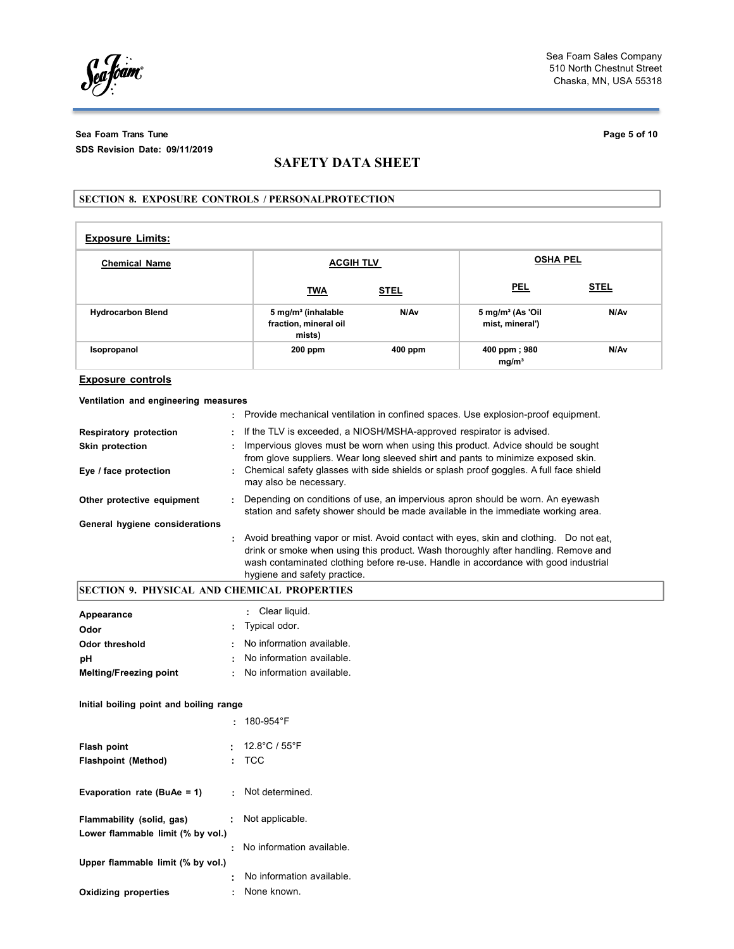Seafoam

**Sea Foam Trans Tune Page 5 of 10 SDS Revision Date: 09/11/2019**

# **SAFETY DATA SHEET**

## **SECTION 8. EXPOSURE CONTROLS / PERSONALPROTECTION**

| <b>Exposure Limits:</b>  |                                                                   |             |                                                |             |  |
|--------------------------|-------------------------------------------------------------------|-------------|------------------------------------------------|-------------|--|
| <b>Chemical Name</b>     | <b>ACGIH TLV</b>                                                  |             | <b>OSHA PEL</b>                                |             |  |
|                          | <u>TWA</u>                                                        | <u>STEL</u> | <b>PEL</b>                                     | <b>STEL</b> |  |
| <b>Hydrocarbon Blend</b> | 5 mg/m <sup>3</sup> (inhalable<br>fraction, mineral oil<br>mists) | N/Av        | $5 \text{ mg/m}^3$ (As 'Oil<br>mist, mineral') | N/Av        |  |
| Isopropanol              | $200$ ppm                                                         | 400 ppm     | 400 ppm; 980<br>mg/m <sup>3</sup>              | N/Av        |  |

### **Exposure controls**

### **Ventilation and engineering measures**

|                                | : Provide mechanical ventilation in confined spaces. Use explosion-proof equipment.                                                                                                                                                                                                                   |
|--------------------------------|-------------------------------------------------------------------------------------------------------------------------------------------------------------------------------------------------------------------------------------------------------------------------------------------------------|
| <b>Respiratory protection</b>  | : If the TLV is exceeded, a NIOSH/MSHA-approved respirator is advised.                                                                                                                                                                                                                                |
| <b>Skin protection</b>         | Impervious gloves must be worn when using this product. Advice should be sought<br>from glove suppliers. Wear long sleeved shirt and pants to minimize exposed skin.                                                                                                                                  |
| Eye / face protection          | : Chemical safety glasses with side shields or splash proof goggles. A full face shield<br>may also be necessary.                                                                                                                                                                                     |
| Other protective equipment     | Depending on conditions of use, an impervious apron should be worn. An eyewash<br>station and safety shower should be made available in the immediate working area.                                                                                                                                   |
| General hygiene considerations |                                                                                                                                                                                                                                                                                                       |
|                                | : Avoid breathing vapor or mist. Avoid contact with eyes, skin and clothing. Do not eat.<br>drink or smoke when using this product. Wash thoroughly after handling. Remove and<br>wash contaminated clothing before re-use. Handle in accordance with good industrial<br>hygiene and safety practice. |

# **SECTION 9. PHYSICAL AND CHEMICAL PROPERTIES**

| Appearance<br>Odor            | : Clear liquid.<br>: Typical odor. |
|-------------------------------|------------------------------------|
| Odor threshold                | : No information available.        |
| pН                            | : No information available.        |
| <b>Melting/Freezing point</b> | : No information available.        |

## **Initial boiling point and boiling range**

|                                                                |    | $\cdot$ 180-954°F                   |
|----------------------------------------------------------------|----|-------------------------------------|
| Flash point<br><b>Flashpoint (Method)</b>                      | ÷. | $\cdot$ 12.8°C / 55°F<br><b>TCC</b> |
| Evaporation rate (BuAe = 1)                                    |    | : Not determined.                   |
| Flammability (solid, gas)<br>Lower flammable limit (% by vol.) |    | : Not applicable.                   |
| Upper flammable limit (% by vol.)                              |    | : No information available.         |
|                                                                |    | No information available.           |
| <b>Oxidizing properties</b>                                    |    | None known.                         |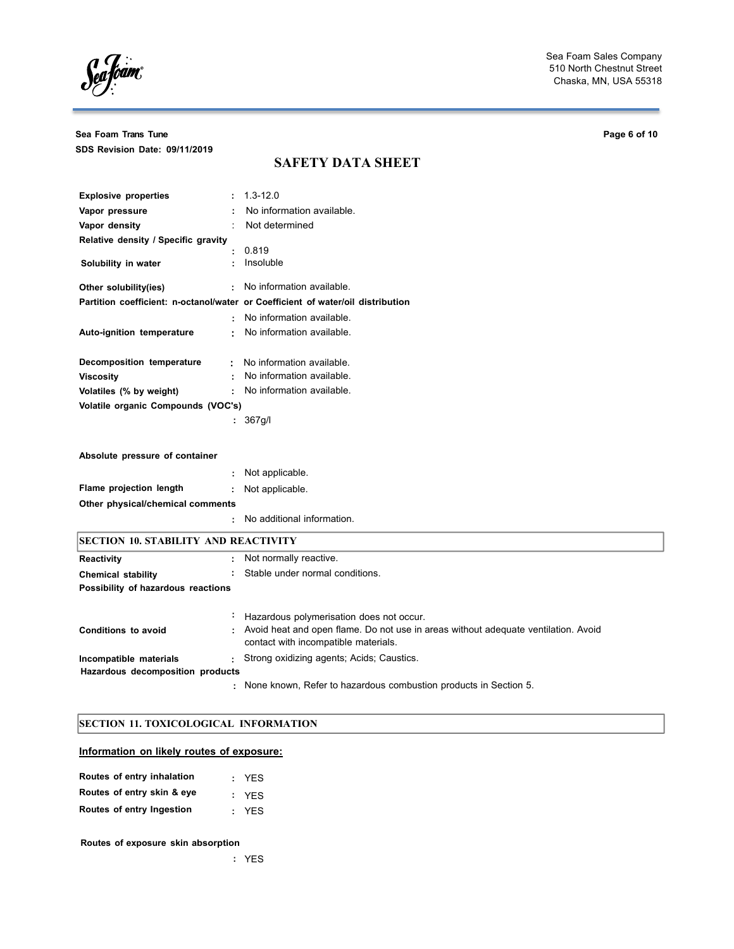Sea fóam

**Sea Foam Trans Tune Page 6 of 10 SDS Revision Date: 09/11/2019**

# **SAFETY DATA SHEET**

| <b>Explosive properties</b>         |   | $: 1.3 - 12.0$                                                                  |
|-------------------------------------|---|---------------------------------------------------------------------------------|
| Vapor pressure                      |   | No information available.                                                       |
| Vapor density                       |   | Not determined                                                                  |
| Relative density / Specific gravity |   |                                                                                 |
|                                     | ٠ | 0.819                                                                           |
| Solubility in water                 |   | Insoluble                                                                       |
| Other solubility(ies)               |   | : No information available.                                                     |
|                                     |   | Partition coefficient: n-octanol/water or Coefficient of water/oil distribution |
|                                     |   | : No information available.                                                     |
| Auto-ignition temperature           |   | : No information available.                                                     |
| Decomposition temperature           |   | : No information available.                                                     |
| <b>Viscosity</b>                    |   | No information available.                                                       |
| Volatiles (% by weight)             |   | No information available.                                                       |
| Volatile organic Compounds (VOC's)  |   |                                                                                 |
|                                     |   | : 367g/l                                                                        |
|                                     |   |                                                                                 |
| Absolute pressure of container      |   |                                                                                 |

|                                  | : Not applicable.            |
|----------------------------------|------------------------------|
| Flame projection length          | : Not applicable.            |
| Other physical/chemical comments |                              |
|                                  | : No additional information. |
|                                  |                              |

| <b>SECTION 10. STABILITY AND REACTIVITY</b> |                                                                                                                              |  |  |
|---------------------------------------------|------------------------------------------------------------------------------------------------------------------------------|--|--|
| <b>Reactivity</b>                           | : Not normally reactive.                                                                                                     |  |  |
| <b>Chemical stability</b>                   | : Stable under normal conditions.                                                                                            |  |  |
| Possibility of hazardous reactions          |                                                                                                                              |  |  |
|                                             | : Hazardous polymerisation does not occur.                                                                                   |  |  |
| Conditions to avoid                         | : Avoid heat and open flame. Do not use in areas without adequate ventilation. Avoid<br>contact with incompatible materials. |  |  |
| Incompatible materials                      | : Strong oxidizing agents; Acids; Caustics.                                                                                  |  |  |
| Hazardous decomposition products            |                                                                                                                              |  |  |
|                                             | : None known, Refer to hazardous combustion products in Section 5.                                                           |  |  |

# **SECTION 11. TOXICOLOGICAL INFORMATION**

# **Information on likely routes of exposure:**

| Routes of entry inhalation | : YES |
|----------------------------|-------|
| Routes of entry skin & eye | : YFS |
| Routes of entry Ingestion  | : YFS |

# **Routes of exposure skin absorption**

**:** YES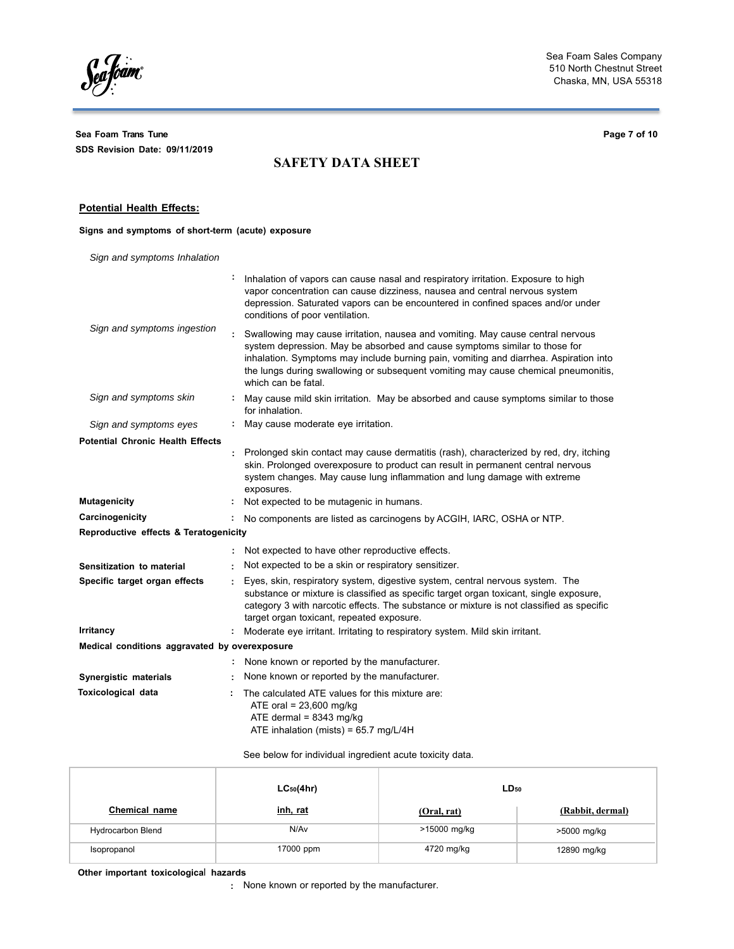Seafoam

**Sea Foam Trans Tune Page 7 of 10 SDS Revision Date: 09/11/2019**

# **SAFETY DATA SHEET**

### **Potential Health Effects:**

## **Signs and symptoms of short-term (acute) exposure**

*Sign and symptoms Inhalation*

|                                               | Inhalation of vapors can cause nasal and respiratory irritation. Exposure to high<br>vapor concentration can cause dizziness, nausea and central nervous system<br>depression. Saturated vapors can be encountered in confined spaces and/or under<br>conditions of poor ventilation.                                                                               |
|-----------------------------------------------|---------------------------------------------------------------------------------------------------------------------------------------------------------------------------------------------------------------------------------------------------------------------------------------------------------------------------------------------------------------------|
| Sign and symptoms ingestion                   | Swallowing may cause irritation, nausea and vomiting. May cause central nervous<br>system depression. May be absorbed and cause symptoms similar to those for<br>inhalation. Symptoms may include burning pain, vomiting and diarrhea. Aspiration into<br>the lungs during swallowing or subsequent vomiting may cause chemical pneumonitis,<br>which can be fatal. |
| Sign and symptoms skin                        | May cause mild skin irritation. May be absorbed and cause symptoms similar to those<br>for inhalation.                                                                                                                                                                                                                                                              |
| Sign and symptoms eyes                        | May cause moderate eye irritation.                                                                                                                                                                                                                                                                                                                                  |
| <b>Potential Chronic Health Effects</b>       | Prolonged skin contact may cause dermatitis (rash), characterized by red, dry, itching<br>skin. Prolonged overexposure to product can result in permanent central nervous<br>system changes. May cause lung inflammation and lung damage with extreme<br>exposures.                                                                                                 |
| <b>Mutagenicity</b>                           | Not expected to be mutagenic in humans.                                                                                                                                                                                                                                                                                                                             |
| Carcinogenicity                               | No components are listed as carcinogens by ACGIH, IARC, OSHA or NTP.                                                                                                                                                                                                                                                                                                |
| Reproductive effects & Teratogenicity         |                                                                                                                                                                                                                                                                                                                                                                     |
|                                               | Not expected to have other reproductive effects.                                                                                                                                                                                                                                                                                                                    |
| Sensitization to material                     | Not expected to be a skin or respiratory sensitizer.                                                                                                                                                                                                                                                                                                                |
| Specific target organ effects                 | Eyes, skin, respiratory system, digestive system, central nervous system. The<br>substance or mixture is classified as specific target organ toxicant, single exposure,<br>category 3 with narcotic effects. The substance or mixture is not classified as specific<br>target organ toxicant, repeated exposure.                                                    |
| <b>Irritancy</b>                              | Moderate eye irritant. Irritating to respiratory system. Mild skin irritant.                                                                                                                                                                                                                                                                                        |
| Medical conditions aggravated by overexposure |                                                                                                                                                                                                                                                                                                                                                                     |
|                                               | None known or reported by the manufacturer.                                                                                                                                                                                                                                                                                                                         |
| Synergistic materials                         | None known or reported by the manufacturer.                                                                                                                                                                                                                                                                                                                         |
| Toxicological data                            | The calculated ATE values for this mixture are:<br>ATE oral = $23,600$ mg/kg<br>ATE dermal = $8343$ mg/kg<br>ATE inhalation (mists) = 65.7 mg/L/4H                                                                                                                                                                                                                  |

## See below for individual ingredient acute toxicity data.

|                          | $LC_{50}(4hr)$ | $LD_{50}$    |                  |
|--------------------------|----------------|--------------|------------------|
| Chemical name            | inh, rat       | (Oral, rat)  | (Rabbit, dermal) |
| <b>Hydrocarbon Blend</b> | N/Av           | >15000 mg/kg | >5000 mg/kg      |
| Isopropanol              | 17000 ppm      | 4720 mg/kg   | 12890 mg/kg      |

**Other important toxicologica**l **hazards**

**:** None known or reported by the manufacturer.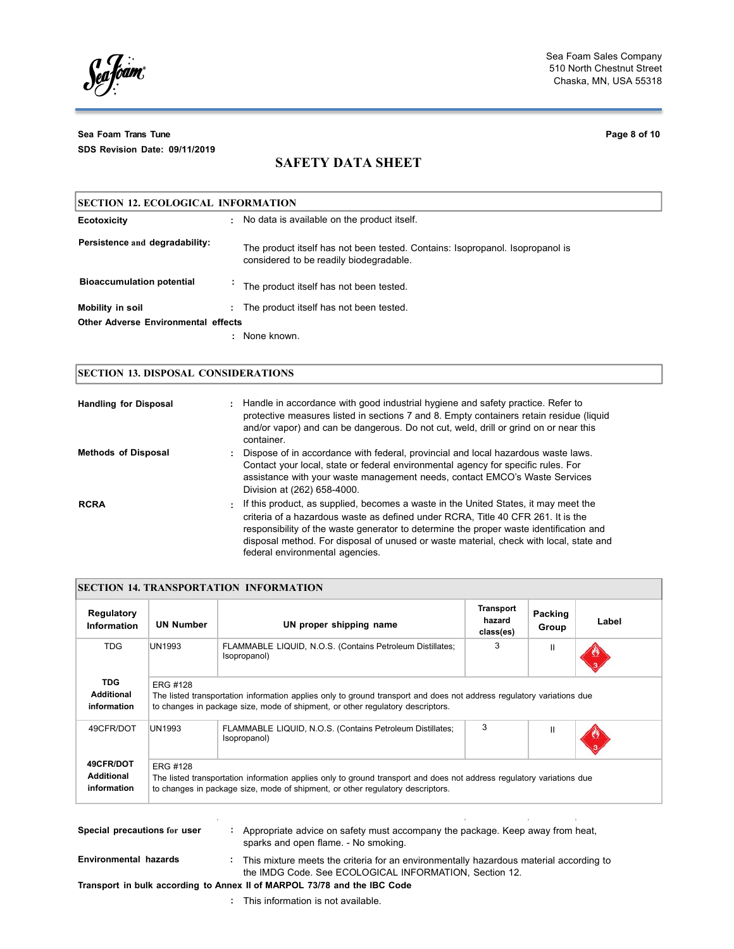Sea fóam

**Sea Foam Trans Tune Page 8 of 10 SDS Revision Date: 09/11/2019**

# **SAFETY DATA SHEET**

| <b>SECTION 12. ECOLOGICAL INFORMATION</b>  |    |                                                                                                                          |
|--------------------------------------------|----|--------------------------------------------------------------------------------------------------------------------------|
| <b>Ecotoxicity</b>                         | ٠. | No data is available on the product itself.                                                                              |
| Persistence and degradability:             |    | The product itself has not been tested. Contains: Isopropanol. Isopropanol is<br>considered to be readily biodegradable. |
| <b>Bioaccumulation potential</b>           |    | The product itself has not been tested.                                                                                  |
| Mobility in soil                           |    | The product itself has not been tested.                                                                                  |
| <b>Other Adverse Environmental effects</b> |    |                                                                                                                          |
|                                            |    | None known.                                                                                                              |

# **SECTION 13. DISPOSAL CONSIDERATIONS**

| <b>Handling for Disposal</b> | : Handle in accordance with good industrial hygiene and safety practice. Refer to<br>protective measures listed in sections 7 and 8. Empty containers retain residue (liquid<br>and/or vapor) and can be dangerous. Do not cut, weld, drill or grind on or near this<br>container.                                                                                                             |
|------------------------------|------------------------------------------------------------------------------------------------------------------------------------------------------------------------------------------------------------------------------------------------------------------------------------------------------------------------------------------------------------------------------------------------|
| <b>Methods of Disposal</b>   | Dispose of in accordance with federal, provincial and local hazardous waste laws.<br>Contact your local, state or federal environmental agency for specific rules. For<br>assistance with your waste management needs, contact EMCO's Waste Services<br>Division at (262) 658-4000.                                                                                                            |
| <b>RCRA</b>                  | If this product, as supplied, becomes a waste in the United States, it may meet the<br>criteria of a hazardous waste as defined under RCRA. Title 40 CFR 261. It is the<br>responsibility of the waste generator to determine the proper waste identification and<br>disposal method. For disposal of unused or waste material, check with local, state and<br>federal environmental agencies. |

| Regulatory<br>Information                      | <b>UN Number</b>                                                                                                                                                                                                    | UN proper shipping name                                                   | <b>Transport</b><br>hazard<br>class(es) | Packing<br>Group | Label |  |  |
|------------------------------------------------|---------------------------------------------------------------------------------------------------------------------------------------------------------------------------------------------------------------------|---------------------------------------------------------------------------|-----------------------------------------|------------------|-------|--|--|
| <b>TDG</b>                                     | <b>UN1993</b>                                                                                                                                                                                                       | FLAMMABLE LIQUID, N.O.S. (Contains Petroleum Distillates;<br>Isopropanol) | 3                                       | $\mathbf{I}$     |       |  |  |
| <b>TDG</b><br><b>Additional</b><br>information | ERG #128<br>The listed transportation information applies only to ground transport and does not address regulatory variations due<br>to changes in package size, mode of shipment, or other regulatory descriptors. |                                                                           |                                         |                  |       |  |  |
|                                                |                                                                                                                                                                                                                     |                                                                           |                                         |                  |       |  |  |
| 49CFR/DOT                                      | UN1993                                                                                                                                                                                                              | FLAMMABLE LIQUID, N.O.S. (Contains Petroleum Distillates;<br>Isopropanol) | 3                                       | Ш                |       |  |  |

| Special precautions for user                                             | ÷ | Appropriate advice on safety must accompany the package. Keep away from heat,<br>sparks and open flame. - No smoking.                              |
|--------------------------------------------------------------------------|---|----------------------------------------------------------------------------------------------------------------------------------------------------|
| Environmental hazards                                                    |   | : This mixture meets the criteria for an environmentally hazardous material according to<br>the IMDG Code. See ECOLOGICAL INFORMATION. Section 12. |
| Transport in bulk according to Annex II of MARPOL 73/78 and the IBC Code |   |                                                                                                                                                    |
|                                                                          |   | : This information is not available.                                                                                                               |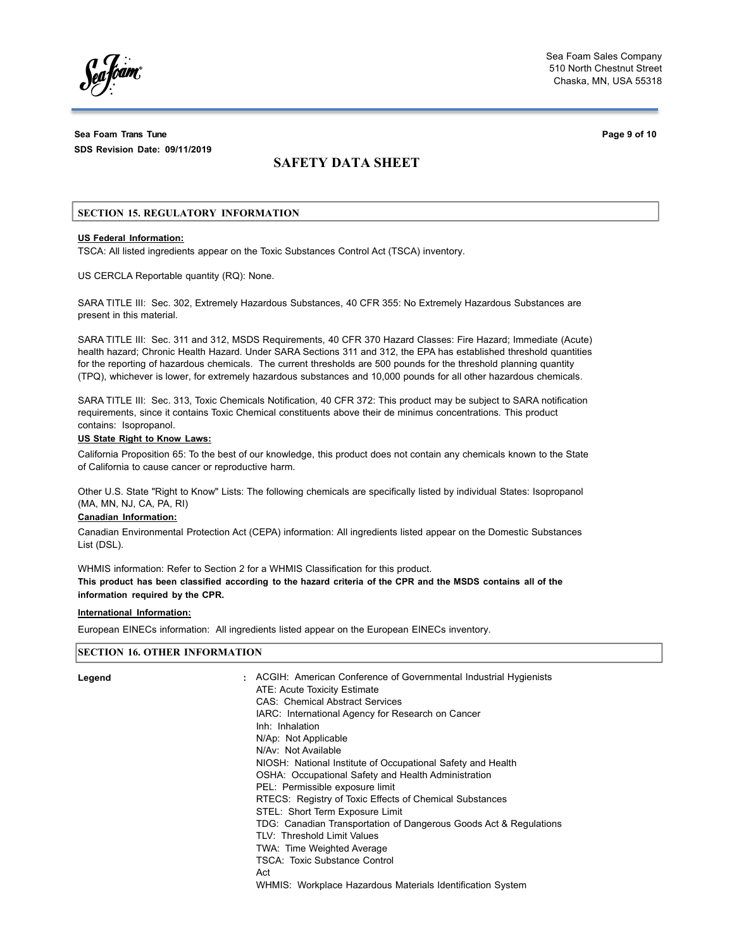**Sea Foam Trans Tune Page 9 of 10 SDS Revision Date: 09/11/2019**

# **SAFETY DATA SHEET**

## **SECTION 15. REGULATORY INFORMATION**

# **US Federal Information:**

TSCA: All listed ingredients appear on the Toxic Substances Control Act (TSCA) inventory.

US CERCLA Reportable quantity (RQ): None.

SARA TITLE III: Sec. 302, Extremely Hazardous Substances, 40 CFR 355: No Extremely Hazardous Substances are present in this material.

SARA TITLE III: Sec. 311 and 312, MSDS Requirements, 40 CFR 370 Hazard Classes: Fire Hazard; Immediate (Acute) health hazard; Chronic Health Hazard. Under SARA Sections 311 and 312, the EPA has established threshold quantities for the reporting of hazardous chemicals. The current thresholds are 500 pounds for the threshold planning quantity (TPQ), whichever is lower, for extremely hazardous substances and 10,000 pounds for all other hazardous chemicals.

SARA TITLE III: Sec. 313, Toxic Chemicals Notification, 40 CFR 372: This product may be subject to SARA notification requirements, since it contains Toxic Chemical constituents above their de minimus concentrations. This product contains: Isopropanol.

## **US State Right to Know Laws:**

California Proposition 65: To the best of our knowledge, this product does not contain any chemicals known to the State of California to cause cancer or reproductive harm.

Other U.S. State "Right to Know" Lists: The following chemicals are specifically listed by individual States: Isopropanol (MA, MN, NJ, CA, PA, RI)

### **Canadian Information:**

Canadian Environmental Protection Act (CEPA) information: All ingredients listed appear on the Domestic Substances List (DSL).

WHMIS information: Refer to Section 2 for a WHMIS Classification for this product. This product has been classified according to the hazard criteria of the CPR and the MSDS contains all of the **information required by the CPR.**

## **International Information:**

European EINECs information: All ingredients listed appear on the European EINECs inventory.

# **SECTION 16. OTHER INFORMATION**

| Legend | : ACGIH: American Conference of Governmental Industrial Hygienists<br>ATE: Acute Toxicity Estimate<br><b>CAS: Chemical Abstract Services</b><br>IARC: International Agency for Research on Cancer<br>Inh: Inhalation<br>N/Ap: Not Applicable<br>N/Av: Not Available<br>NIOSH: National Institute of Occupational Safety and Health<br>OSHA: Occupational Safety and Health Administration<br>PEL: Permissible exposure limit<br>RTECS: Registry of Toxic Effects of Chemical Substances<br>STEL: Short Term Exposure Limit<br>TDG: Canadian Transportation of Dangerous Goods Act & Regulations<br>TLV: Threshold Limit Values<br>TWA: Time Weighted Average<br><b>TSCA: Toxic Substance Control</b><br>Act |
|--------|-------------------------------------------------------------------------------------------------------------------------------------------------------------------------------------------------------------------------------------------------------------------------------------------------------------------------------------------------------------------------------------------------------------------------------------------------------------------------------------------------------------------------------------------------------------------------------------------------------------------------------------------------------------------------------------------------------------|
|        | WHMIS: Workplace Hazardous Materials Identification System                                                                                                                                                                                                                                                                                                                                                                                                                                                                                                                                                                                                                                                  |